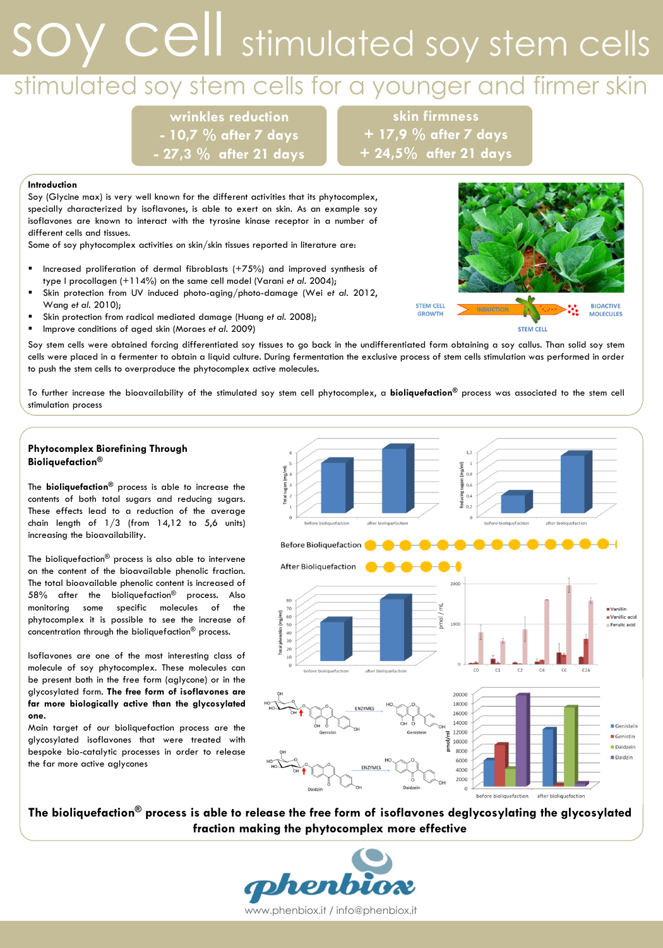# soy cell stimulated soy stem cells

## stimulated soy stem cells for a younger and firmer skin

wrinkles reduction - 10,7 % after 7 days - 27,3 % after 21 days

skin firmness + 17,9 % after 7 days + 24,5% after 21 days

### Introduction

Soy (Glycine max) is very well known for the different activities that its phytocomplex, specially characterized by isoflavones, is able to exert on skin. As an example soy isoflavones are known to interact with the tyrosine kinase receptor in a number of different cells and tissues.

Some of soy phytocomplex activities on skin/skin tissues reported in literature are:

- Increased proliferation of dermal fibroblasts (+75%) and improved synthesis of type I procollagen (+114%) on the same cell model (Varani et al. 2004);
- Skin protection from UV induced photo-aging/photo-damage (Wei et al. 2012, Wang et al. 2010);
- Skin protection from radical mediated damage (Huang et al. 2008);
- Improve conditions of aged skin (Moraes et al. 2009)

Soy stem cells were obtained forcing differentiated soy tissues to go back in the undifferentiated form obtaining a soy callus. Than solid soy stem cells were placed in a fermenter to obtain a liquid culture. During fermentation the exclusive process of stem cells stimulation was performed in order to push the stem cells to overproduce the phytocomplex active molecules.

To further increase the bioavailability of the stimulated soy stem cell phytocomplex, a **bioliquefaction**® process was associated to the stem cell stimulation process

### Phytocomplex Biorefining Through Bioliquefaction®

The **bioliquefaction**<sup>®</sup> process is able to increase the contents of both total sugars and reducing sugars. These effects lead to a reduction of the average chain length of  $1/3$  (from  $14,12$  to  $5,6$  units) increasing the bioavailability.

The bioliquefaction® process is also able to intervene on the content of the bioavailable phenolic fraction. The total bioavailable phenolic content is increased of 58% after the bioliquefaction® process. Also monitoring some specific molecules of the phytocomplex it is possible to see the increase of concentration through the bioliquefaction® process.

Isoflavones are one of the most interesting class of molecule of soy phytocomplex. These molecules can be present both in the free form (aglycone) or in the glycosylated form. The free form of isoflavones are far more biologically active than the glycosylated one.

Main target of our bioliquefaction process are the glycosylated isoflavones that were treated with bespoke bio-catalytic processes in order to release the far more active aglycones



The bioliquefaction® process is able to release the free form of isoflavones deglycosylating the glycosylated fraction making the phytocomplex more effective